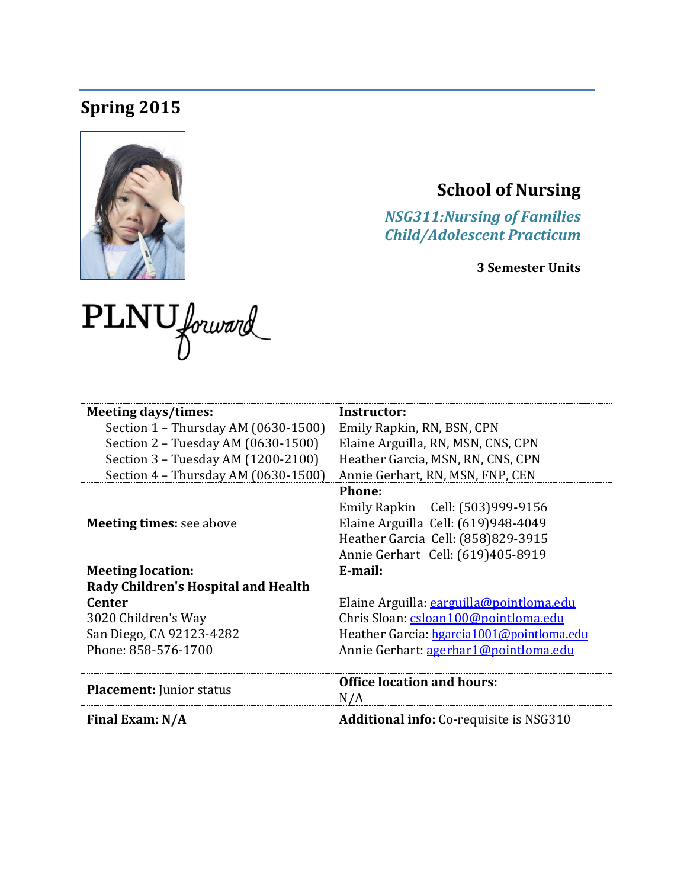# **Spring 2015**



# **School of Nursing**

*NSG311:Nursing of Families Child/Adolescent Practicum*

**3 Semester Units**

| PLNU forward |  |
|--------------|--|
|              |  |

| <b>Meeting days/times:</b>          | Instructor:                                    |  |  |
|-------------------------------------|------------------------------------------------|--|--|
| Section 1 - Thursday AM (0630-1500) | Emily Rapkin, RN, BSN, CPN                     |  |  |
| Section 2 - Tuesday AM (0630-1500)  | Elaine Arguilla, RN, MSN, CNS, CPN             |  |  |
| Section 3 - Tuesday AM (1200-2100)  | Heather Garcia, MSN, RN, CNS, CPN              |  |  |
| Section 4 - Thursday AM (0630-1500) | Annie Gerhart, RN, MSN, FNP, CEN               |  |  |
|                                     | <b>Phone:</b>                                  |  |  |
|                                     | Emily Rapkin Cell: (503)999-9156               |  |  |
| <b>Meeting times: see above</b>     | Elaine Arguilla Cell: (619)948-4049            |  |  |
|                                     | Heather Garcia Cell: (858)829-3915             |  |  |
|                                     | Annie Gerhart Cell: (619)405-8919              |  |  |
| <b>Meeting location:</b>            | E-mail:                                        |  |  |
| Rady Children's Hospital and Health |                                                |  |  |
| <b>Center</b>                       | Elaine Arguilla: earguilla@pointloma.edu       |  |  |
| 3020 Children's Way                 | Chris Sloan: csloan100@pointloma.edu           |  |  |
| San Diego, CA 92123-4282            | Heather Garcia: hgarcia1001@pointloma.edu      |  |  |
| Phone: 858-576-1700                 | Annie Gerhart: agerhar1@pointloma.edu          |  |  |
|                                     |                                                |  |  |
|                                     | <b>Office location and hours:</b>              |  |  |
| <b>Placement:</b> Junior status     | N/A                                            |  |  |
| Final Exam: N/A                     | <b>Additional info:</b> Co-requisite is NSG310 |  |  |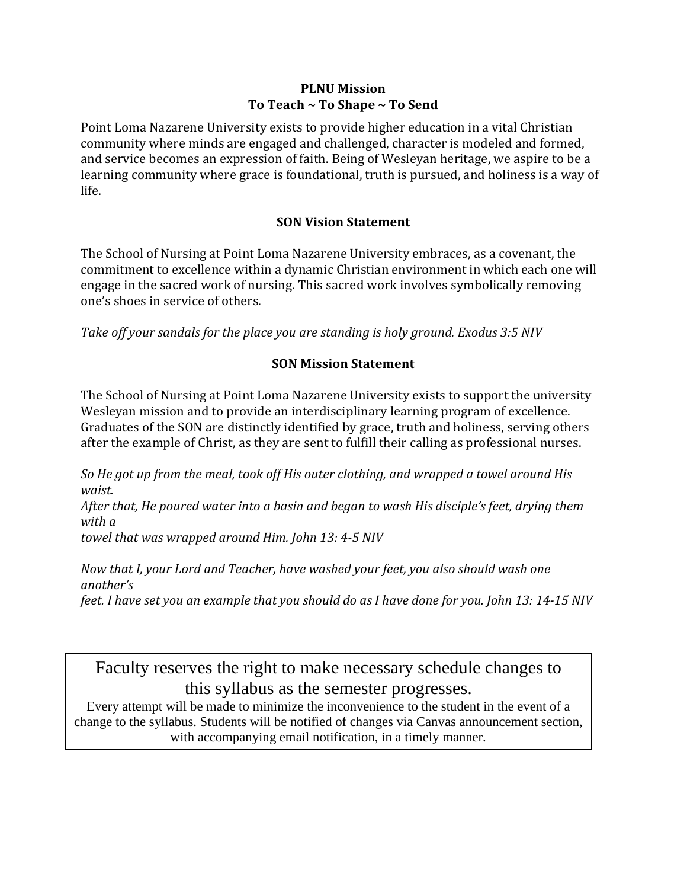#### **PLNU Mission To Teach ~ To Shape ~ To Send**

Point Loma Nazarene University exists to provide higher education in a vital Christian community where minds are engaged and challenged, character is modeled and formed, and service becomes an expression of faith. Being of Wesleyan heritage, we aspire to be a learning community where grace is foundational, truth is pursued, and holiness is a way of life.

# **SON Vision Statement**

The School of Nursing at Point Loma Nazarene University embraces, as a covenant, the commitment to excellence within a dynamic Christian environment in which each one will engage in the sacred work of nursing. This sacred work involves symbolically removing one's shoes in service of others.

*Take off your sandals for the place you are standing is holy ground. Exodus 3:5 NIV* 

# **SON Mission Statement**

The School of Nursing at Point Loma Nazarene University exists to support the university Wesleyan mission and to provide an interdisciplinary learning program of excellence. Graduates of the SON are distinctly identified by grace, truth and holiness, serving others after the example of Christ, as they are sent to fulfill their calling as professional nurses.

*So He got up from the meal, took off His outer clothing, and wrapped a towel around His waist.*

*After that, He poured water into a basin and began to wash His disciple's feet, drying them with a* 

*towel that was wrapped around Him. John 13: 4-5 NIV* 

*Now that I, your Lord and Teacher, have washed your feet, you also should wash one another's* 

*feet. I have set you an example that you should do as I have done for you. John 13: 14-15 NIV* 

Faculty reserves the right to make necessary schedule changes to this syllabus as the semester progresses.<br>Every attempt will be made to minimize the inconvenience to the student in the event of a

change to the syllabus. Students will be notified of changes via Canvas announcement section, with accompanying email notification, in a timely manner.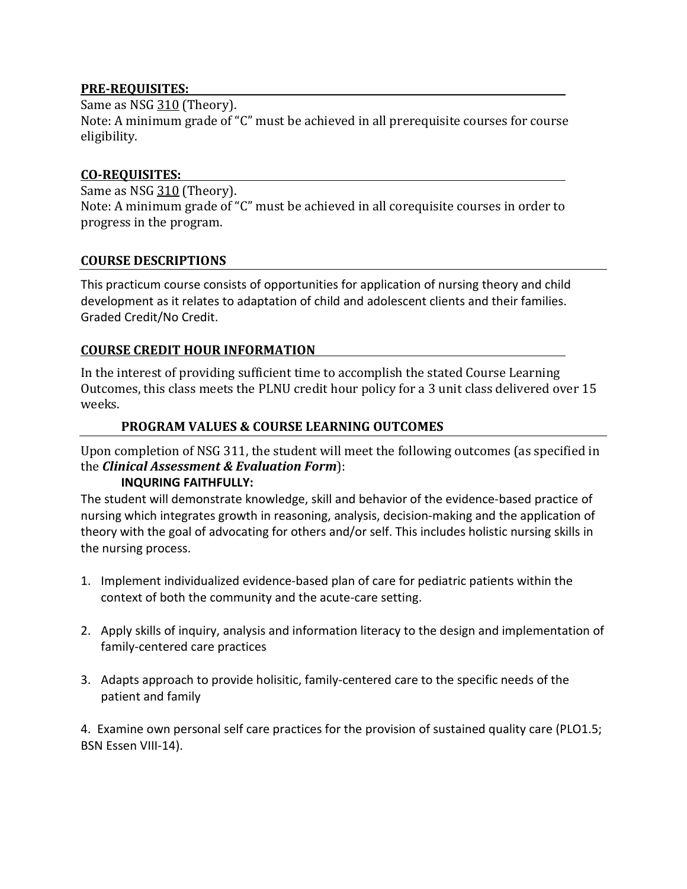#### **PRE-REQUISITES:**

Same as NSG 310 (Theory).

Note: A minimum grade of "C" must be achieved in all prerequisite courses for course eligibility.

#### **CO-REQUISITES:**

Same as NSG 310 (Theory). Note: A minimum grade of "C" must be achieved in all corequisite courses in order to progress in the program.

#### **COURSE DESCRIPTIONS**

This practicum course consists of opportunities for application of nursing theory and child development as it relates to adaptation of child and adolescent clients and their families. Graded Credit/No Credit.

#### **COURSE CREDIT HOUR INFORMATION**

In the interest of providing sufficient time to accomplish the stated Course Learning Outcomes, this class meets the PLNU credit hour policy for a 3 unit class delivered over 15 weeks.

#### **PROGRAM VALUES & COURSE LEARNING OUTCOMES**

Upon completion of NSG 311, the student will meet the following outcomes (as specified in the *Clinical Assessment & Evaluation Form*):

#### **INQURING FAITHFULLY:**

The student will demonstrate knowledge, skill and behavior of the evidence-based practice of nursing which integrates growth in reasoning, analysis, decision-making and the application of theory with the goal of advocating for others and/or self. This includes holistic nursing skills in the nursing process.

- 1. Implement individualized evidence-based plan of care for pediatric patients within the context of both the community and the acute-care setting.
- 2. Apply skills of inquiry, analysis and information literacy to the design and implementation of family-centered care practices
- 3. Adapts approach to provide holisitic, family-centered care to the specific needs of the patient and family

4. Examine own personal self care practices for the provision of sustained quality care (PLO1.5; BSN Essen VIII-14).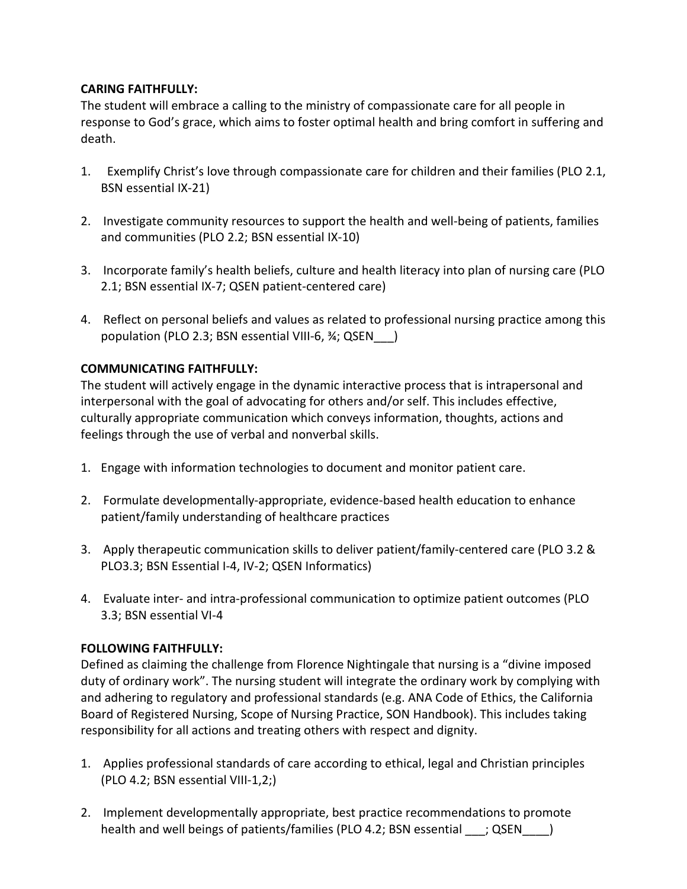#### **CARING FAITHFULLY:**

The student will embrace a calling to the ministry of compassionate care for all people in response to God's grace, which aims to foster optimal health and bring comfort in suffering and death.

- 1. Exemplify Christ's love through compassionate care for children and their families (PLO 2.1, BSN essential IX-21)
- 2. Investigate community resources to support the health and well-being of patients, families and communities (PLO 2.2; BSN essential IX-10)
- 3. Incorporate family's health beliefs, culture and health literacy into plan of nursing care (PLO 2.1; BSN essential IX-7; QSEN patient-centered care)
- 4. Reflect on personal beliefs and values as related to professional nursing practice among this population (PLO 2.3; BSN essential VIII-6, ¾; QSEN\_\_\_)

#### **COMMUNICATING FAITHFULLY:**

The student will actively engage in the dynamic interactive process that is intrapersonal and interpersonal with the goal of advocating for others and/or self. This includes effective, culturally appropriate communication which conveys information, thoughts, actions and feelings through the use of verbal and nonverbal skills.

- 1. Engage with information technologies to document and monitor patient care.
- 2. Formulate developmentally-appropriate, evidence-based health education to enhance patient/family understanding of healthcare practices
- 3. Apply therapeutic communication skills to deliver patient/family-centered care (PLO 3.2 & PLO3.3; BSN Essential I-4, IV-2; QSEN Informatics)
- 4. Evaluate inter- and intra-professional communication to optimize patient outcomes (PLO 3.3; BSN essential VI-4

#### **FOLLOWING FAITHFULLY:**

Defined as claiming the challenge from Florence Nightingale that nursing is a "divine imposed duty of ordinary work". The nursing student will integrate the ordinary work by complying with and adhering to regulatory and professional standards (e.g. ANA Code of Ethics, the California Board of Registered Nursing, Scope of Nursing Practice, SON Handbook). This includes taking responsibility for all actions and treating others with respect and dignity.

- 1. Applies professional standards of care according to ethical, legal and Christian principles (PLO 4.2; BSN essential VIII-1,2;)
- 2. Implement developmentally appropriate, best practice recommendations to promote health and well beings of patients/families (PLO 4.2; BSN essential ; QSEN )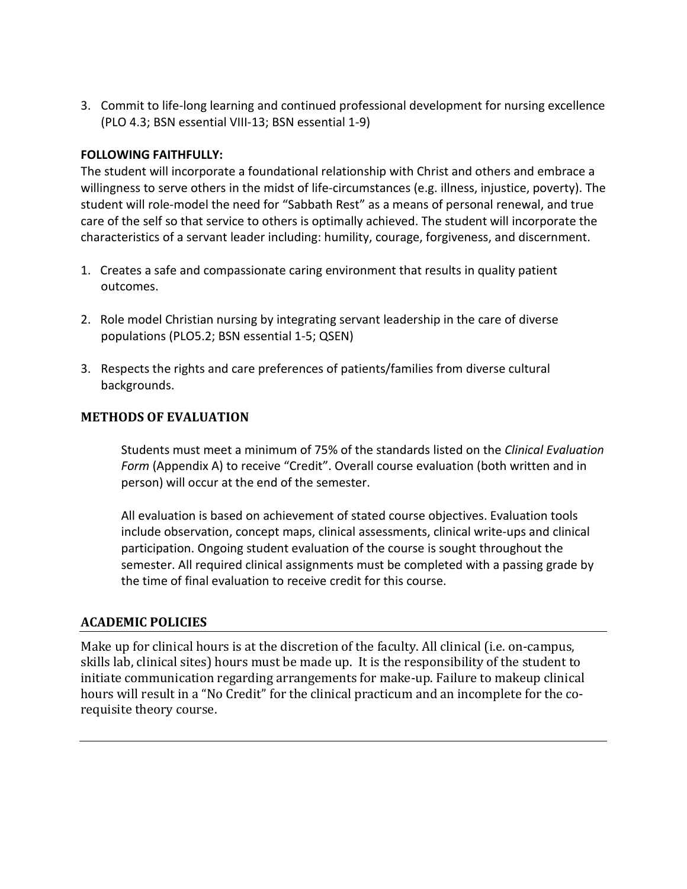3. Commit to life-long learning and continued professional development for nursing excellence (PLO 4.3; BSN essential VIII-13; BSN essential 1-9)

#### **FOLLOWING FAITHFULLY:**

The student will incorporate a foundational relationship with Christ and others and embrace a willingness to serve others in the midst of life-circumstances (e.g. illness, injustice, poverty). The student will role-model the need for "Sabbath Rest" as a means of personal renewal, and true care of the self so that service to others is optimally achieved. The student will incorporate the characteristics of a servant leader including: humility, courage, forgiveness, and discernment.

- 1. Creates a safe and compassionate caring environment that results in quality patient outcomes.
- 2. Role model Christian nursing by integrating servant leadership in the care of diverse populations (PLO5.2; BSN essential 1-5; QSEN)
- 3. Respects the rights and care preferences of patients/families from diverse cultural backgrounds.

#### **METHODS OF EVALUATION**

Students must meet a minimum of 75% of the standards listed on the *Clinical Evaluation Form* (Appendix A) to receive "Credit". Overall course evaluation (both written and in person) will occur at the end of the semester.

All evaluation is based on achievement of stated course objectives. Evaluation tools include observation, concept maps, clinical assessments, clinical write-ups and clinical participation. Ongoing student evaluation of the course is sought throughout the semester. All required clinical assignments must be completed with a passing grade by the time of final evaluation to receive credit for this course.

#### **ACADEMIC POLICIES**

Make up for clinical hours is at the discretion of the faculty. All clinical (i.e. on-campus, skills lab, clinical sites) hours must be made up. It is the responsibility of the student to initiate communication regarding arrangements for make-up. Failure to makeup clinical hours will result in a "No Credit" for the clinical practicum and an incomplete for the corequisite theory course.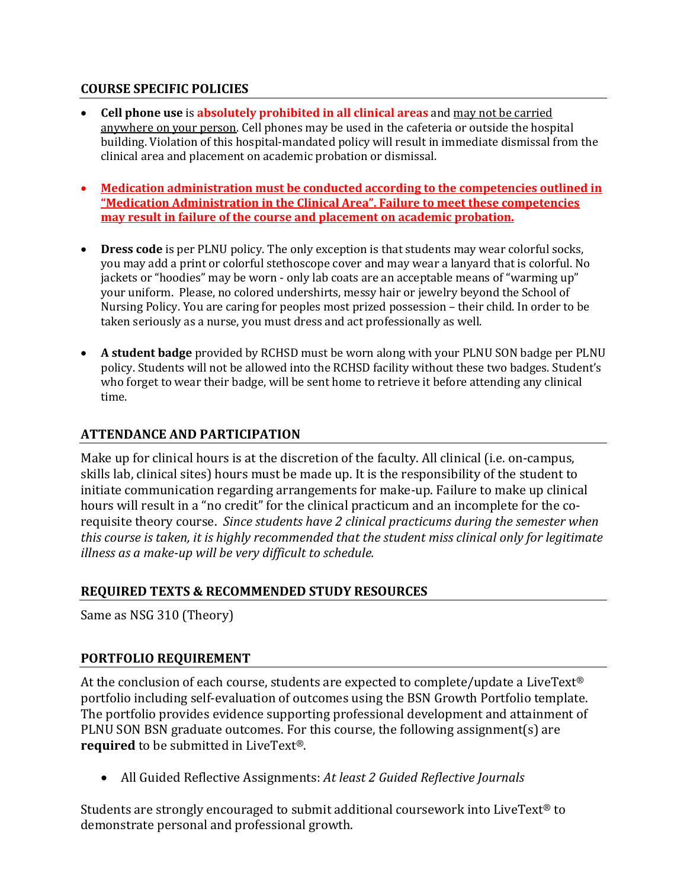#### **COURSE SPECIFIC POLICIES**

- **Cell phone use** is **absolutely prohibited in all clinical areas** and may not be carried anywhere on your person. Cell phones may be used in the cafeteria or outside the hospital building. Violation of this hospital-mandated policy will result in immediate dismissal from the clinical area and placement on academic probation or dismissal.
- **Medication administration must be conducted according to the competencies outlined in "Medication Administration in the Clinical Area". Failure to meet these competencies may result in failure of the course and placement on academic probation.**
- **Dress code** is per PLNU policy. The only exception is that students may wear colorful socks, you may add a print or colorful stethoscope cover and may wear a lanyard that is colorful. No jackets or "hoodies" may be worn - only lab coats are an acceptable means of "warming up" your uniform. Please, no colored undershirts, messy hair or jewelry beyond the School of Nursing Policy. You are caring for peoples most prized possession – their child. In order to be taken seriously as a nurse, you must dress and act professionally as well.
- **A student badge** provided by RCHSD must be worn along with your PLNU SON badge per PLNU policy. Students will not be allowed into the RCHSD facility without these two badges. Student's who forget to wear their badge, will be sent home to retrieve it before attending any clinical time.

#### **ATTENDANCE AND PARTICIPATION**

Make up for clinical hours is at the discretion of the faculty. All clinical (i.e. on-campus, skills lab, clinical sites) hours must be made up. It is the responsibility of the student to initiate communication regarding arrangements for make-up. Failure to make up clinical hours will result in a "no credit" for the clinical practicum and an incomplete for the corequisite theory course. *Since students have 2 clinical practicums during the semester when this course is taken, it is highly recommended that the student miss clinical only for legitimate illness as a make-up will be very difficult to schedule.*

# **REQUIRED TEXTS & RECOMMENDED STUDY RESOURCES**

Same as NSG 310 (Theory)

# **PORTFOLIO REQUIREMENT**

At the conclusion of each course, students are expected to complete/update a LiveText<sup>®</sup> portfolio including self-evaluation of outcomes using the BSN Growth Portfolio template. The portfolio provides evidence supporting professional development and attainment of PLNU SON BSN graduate outcomes. For this course, the following assignment(s) are **required** to be submitted in LiveText®.

• All Guided Reflective Assignments: *At least 2 Guided Reflective Journals*

Students are strongly encouraged to submit additional coursework into LiveText® to demonstrate personal and professional growth.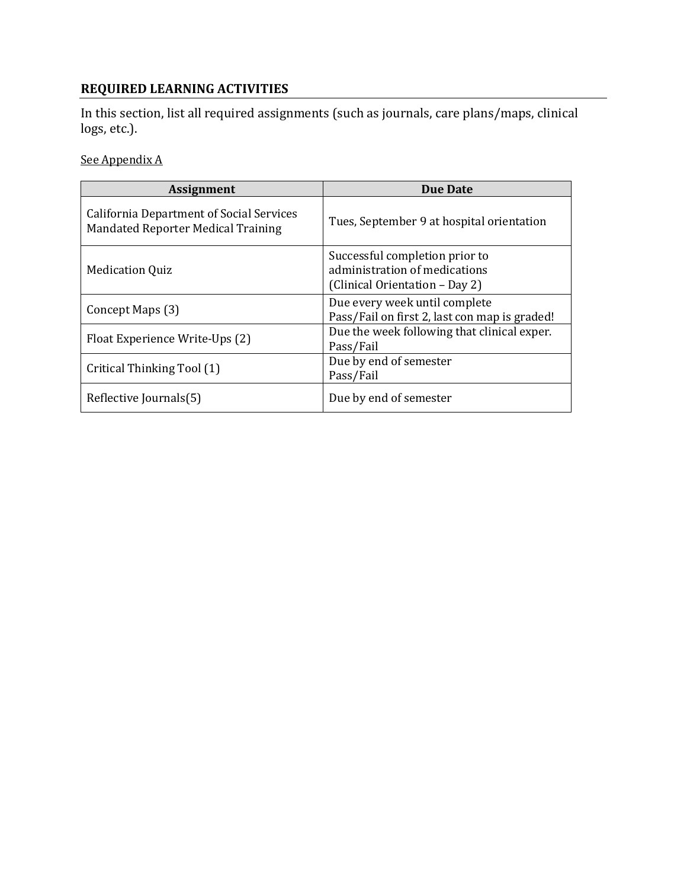# **REQUIRED LEARNING ACTIVITIES**

In this section, list all required assignments (such as journals, care plans/maps, clinical logs, etc.).

See Appendix A

| <b>Assignment</b>                                                                            | <b>Due Date</b>                                                                                   |
|----------------------------------------------------------------------------------------------|---------------------------------------------------------------------------------------------------|
| <b>California Department of Social Services</b><br><b>Mandated Reporter Medical Training</b> | Tues, September 9 at hospital orientation                                                         |
| <b>Medication Quiz</b>                                                                       | Successful completion prior to<br>administration of medications<br>(Clinical Orientation - Day 2) |
| Concept Maps (3)                                                                             | Due every week until complete<br>Pass/Fail on first 2, last con map is graded!                    |
| Float Experience Write-Ups (2)                                                               | Due the week following that clinical exper.<br>Pass/Fail                                          |
| Critical Thinking Tool (1)                                                                   | Due by end of semester<br>Pass/Fail                                                               |
| Reflective Journals(5)                                                                       | Due by end of semester                                                                            |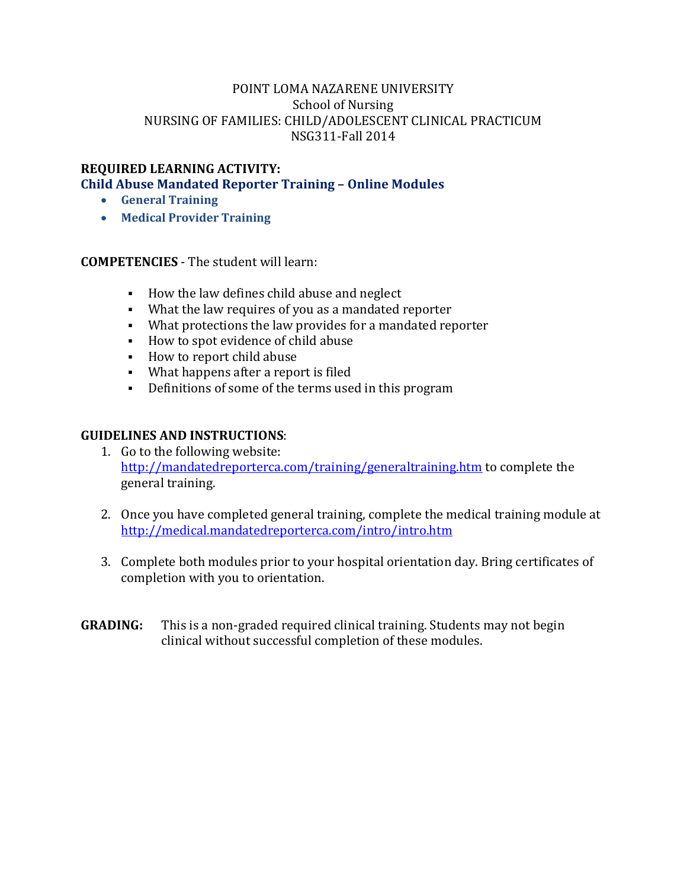#### **REQUIRED LEARNING ACTIVITY:**

**Child Abuse Mandated Reporter Training – Online Modules**

- **General Training**
- **Medical Provider Training**

**COMPETENCIES** - The student will learn:

- How the law defines child abuse and neglect
- What the law requires of you as a mandated reporter
- What protections the law provides for a mandated reporter
- How to spot evidence of child abuse
- How to report child abuse
- What happens after a report is filed
- Definitions of some of the terms used in this program

#### **GUIDELINES AND INSTRUCTIONS**:

- 1. Go to the following website: <http://mandatedreporterca.com/training/generaltraining.htm> to complete the general training.
- 2. Once you have completed general training, complete the medical training module at <http://medical.mandatedreporterca.com/intro/intro.htm>
- 3. Complete both modules prior to your hospital orientation day. Bring certificates of completion with you to orientation.
- **GRADING:** This is a non-graded required clinical training. Students may not begin clinical without successful completion of these modules.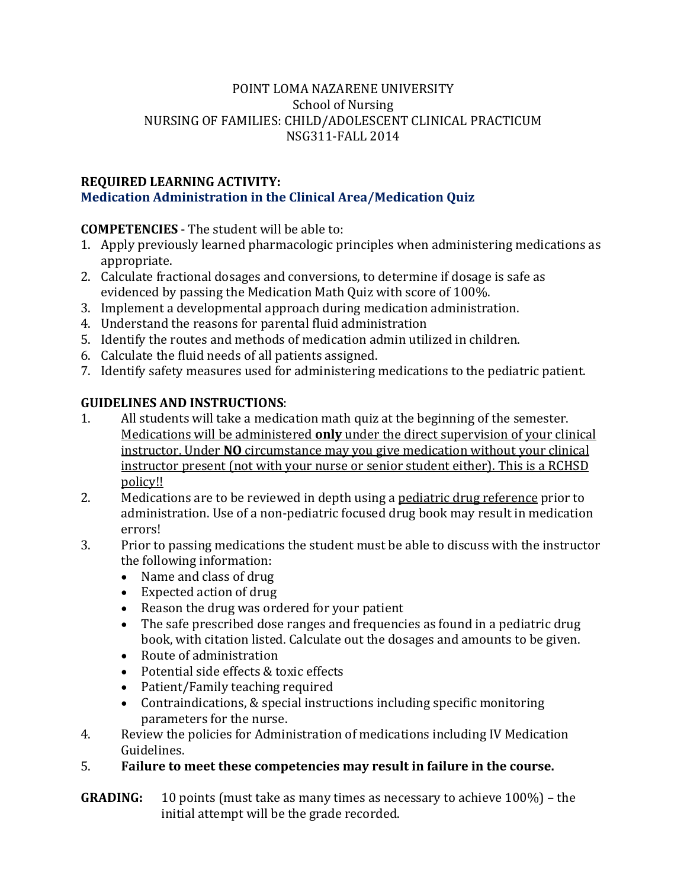### **REQUIRED LEARNING ACTIVITY: Medication Administration in the Clinical Area/Medication Quiz**

# **COMPETENCIES** - The student will be able to:

- 1. Apply previously learned pharmacologic principles when administering medications as appropriate.
- 2. Calculate fractional dosages and conversions, to determine if dosage is safe as evidenced by passing the Medication Math Quiz with score of 100%.
- 3. Implement a developmental approach during medication administration.
- 4. Understand the reasons for parental fluid administration
- 5. Identify the routes and methods of medication admin utilized in children.
- 6. Calculate the fluid needs of all patients assigned.
- 7. Identify safety measures used for administering medications to the pediatric patient.

# **GUIDELINES AND INSTRUCTIONS:**<br>1. All students will take a medic

- All students will take a medication math quiz at the beginning of the semester. Medications will be administered **only** under the direct supervision of your clinical instructor. Under **NO** circumstance may you give medication without your clinical instructor present (not with your nurse or senior student either). This is a RCHSD policy!!
- 2. Medications are to be reviewed in depth using a pediatric drug reference prior to administration. Use of a non-pediatric focused drug book may result in medication errors!
- 3. Prior to passing medications the student must be able to discuss with the instructor the following information:
	- Name and class of drug
	- Expected action of drug
	- Reason the drug was ordered for your patient
	- The safe prescribed dose ranges and frequencies as found in a pediatric drug book, with citation listed. Calculate out the dosages and amounts to be given.
	- Route of administration
	- Potential side effects & toxic effects
	- Patient/Family teaching required
	- Contraindications, & special instructions including specific monitoring parameters for the nurse.
- 4. Review the policies for Administration of medications including IV Medication Guidelines.

# 5. **Failure to meet these competencies may result in failure in the course.**

**GRADING:** 10 points (must take as many times as necessary to achieve 100%) – the initial attempt will be the grade recorded.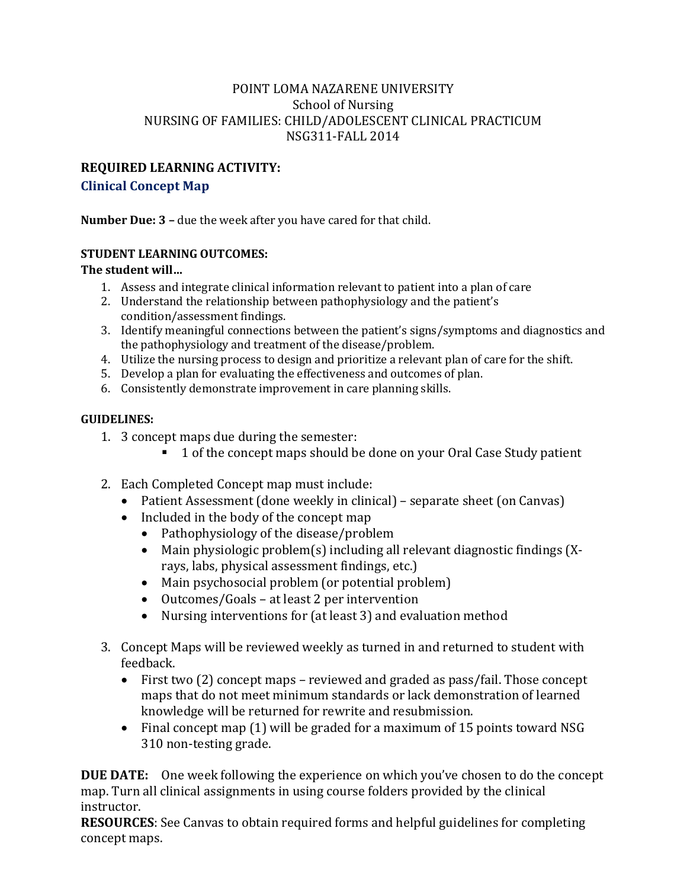### **REQUIRED LEARNING ACTIVITY: Clinical Concept Map**

**Number Due: 3 –** due the week after you have cared for that child.

#### **STUDENT LEARNING OUTCOMES:**

#### **The student will…**

- 1. Assess and integrate clinical information relevant to patient into a plan of care
- 2. Understand the relationship between pathophysiology and the patient's condition/assessment findings.
- 3. Identify meaningful connections between the patient's signs/symptoms and diagnostics and the pathophysiology and treatment of the disease/problem.
- 4. Utilize the nursing process to design and prioritize a relevant plan of care for the shift.
- 5. Develop a plan for evaluating the effectiveness and outcomes of plan.
- 6. Consistently demonstrate improvement in care planning skills.

#### **GUIDELINES:**

- 1. 3 concept maps due during the semester:
	- 1 of the concept maps should be done on your Oral Case Study patient
- 2. Each Completed Concept map must include:
	- Patient Assessment (done weekly in clinical) separate sheet (on Canvas)
	- Included in the body of the concept map
		- Pathophysiology of the disease/problem
		- Main physiologic problem(s) including all relevant diagnostic findings (Xrays, labs, physical assessment findings, etc.)
		- Main psychosocial problem (or potential problem)
		- Outcomes/Goals at least 2 per intervention
		- Nursing interventions for (at least 3) and evaluation method
- 3. Concept Maps will be reviewed weekly as turned in and returned to student with feedback.
	- First two (2) concept maps reviewed and graded as pass/fail. Those concept maps that do not meet minimum standards or lack demonstration of learned knowledge will be returned for rewrite and resubmission.
	- Final concept map (1) will be graded for a maximum of 15 points toward NSG 310 non-testing grade.

**DUE DATE:** One week following the experience on which you've chosen to do the concept map. Turn all clinical assignments in using course folders provided by the clinical instructor.

**RESOURCES**: See Canvas to obtain required forms and helpful guidelines for completing concept maps.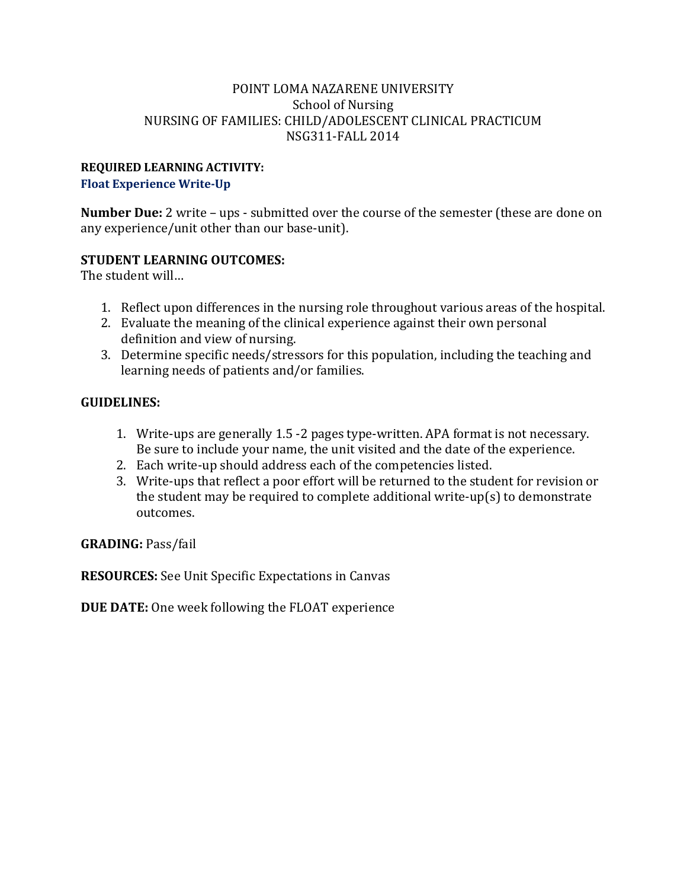# **REQUIRED LEARNING ACTIVITY:**

**Float Experience Write-Up** 

**Number Due:** 2 write – ups - submitted over the course of the semester (these are done on any experience/unit other than our base-unit).

# **STUDENT LEARNING OUTCOMES:**

The student will…

- 1. Reflect upon differences in the nursing role throughout various areas of the hospital.
- 2. Evaluate the meaning of the clinical experience against their own personal definition and view of nursing.
- 3. Determine specific needs/stressors for this population, including the teaching and learning needs of patients and/or families.

# **GUIDELINES:**

- 1. Write-ups are generally 1.5 -2 pages type-written. APA format is not necessary. Be sure to include your name, the unit visited and the date of the experience.
- 2. Each write-up should address each of the competencies listed.
- 3. Write-ups that reflect a poor effort will be returned to the student for revision or the student may be required to complete additional write-up(s) to demonstrate outcomes.

**GRADING:** Pass/fail

**RESOURCES:** See Unit Specific Expectations in Canvas

**DUE DATE:** One week following the FLOAT experience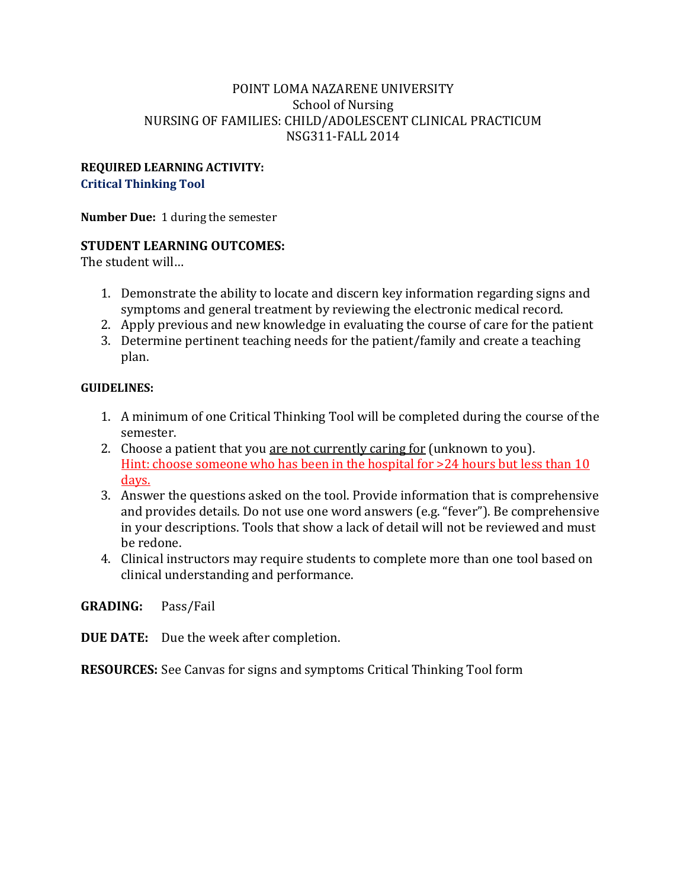#### **REQUIRED LEARNING ACTIVITY: Critical Thinking Tool**

**Number Due:** 1 during the semester

#### **STUDENT LEARNING OUTCOMES:**

The student will…

- 1. Demonstrate the ability to locate and discern key information regarding signs and symptoms and general treatment by reviewing the electronic medical record.
- 2. Apply previous and new knowledge in evaluating the course of care for the patient
- 3. Determine pertinent teaching needs for the patient/family and create a teaching plan.

#### **GUIDELINES:**

- 1. A minimum of one Critical Thinking Tool will be completed during the course of the semester.
- 2. Choose a patient that you are not currently caring for (unknown to you). Hint: choose someone who has been in the hospital for >24 hours but less than 10 days.
- 3. Answer the questions asked on the tool. Provide information that is comprehensive and provides details. Do not use one word answers (e.g. "fever"). Be comprehensive in your descriptions. Tools that show a lack of detail will not be reviewed and must be redone.
- 4. Clinical instructors may require students to complete more than one tool based on clinical understanding and performance.

**GRADING:** Pass/Fail

**DUE DATE:** Due the week after completion.

**RESOURCES:** See Canvas for signs and symptoms Critical Thinking Tool form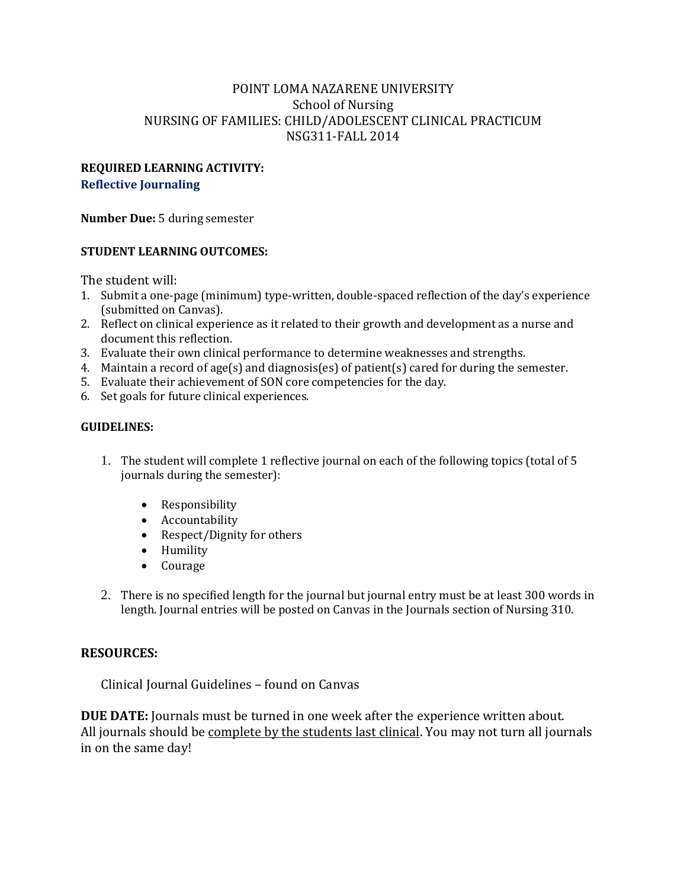#### **REQUIRED LEARNING ACTIVITY: Reflective Journaling**

**Number Due:** 5 during semester

#### **STUDENT LEARNING OUTCOMES:**

The student will:

- 1. Submit a one-page (minimum) type-written, double-spaced reflection of the day's experience (submitted on Canvas).
- 2. Reflect on clinical experience as it related to their growth and development as a nurse and document this reflection.
- 3. Evaluate their own clinical performance to determine weaknesses and strengths.
- 4. Maintain a record of age(s) and diagnosis(es) of patient(s) cared for during the semester.
- 5. Evaluate their achievement of SON core competencies for the day.
- 6. Set goals for future clinical experiences.

#### **GUIDELINES:**

- 1. The student will complete 1 reflective journal on each of the following topics (total of 5 journals during the semester):
	- Responsibility
	- Accountability
	- Respect/Dignity for others
	- Humility<br>• Courage
	- Courage
- 2. There is no specified length for the journal but journal entry must be at least 300 words in length. Journal entries will be posted on Canvas in the Journals section of Nursing 310.

#### **RESOURCES:**

Clinical Journal Guidelines – found on Canvas

**DUE DATE:** Journals must be turned in one week after the experience written about. All journals should be complete by the students last clinical. You may not turn all journals in on the same day!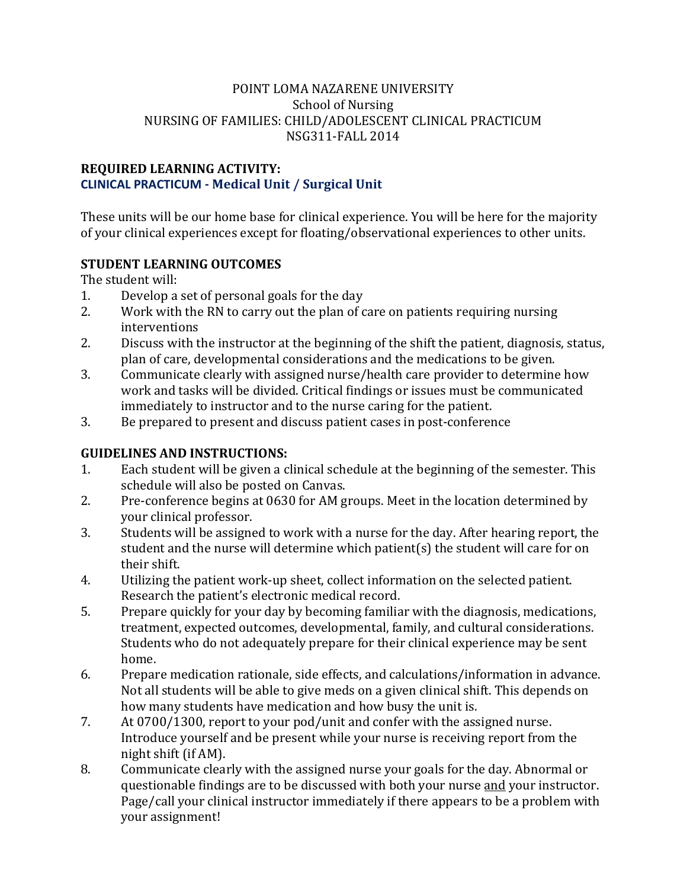#### **REQUIRED LEARNING ACTIVITY: CLINICAL PRACTICUM - Medical Unit / Surgical Unit**

These units will be our home base for clinical experience. You will be here for the majority of your clinical experiences except for floating/observational experiences to other units.

# **STUDENT LEARNING OUTCOMES**

The student will:<br>1. Develop a

- 1. Develop a set of personal goals for the day<br>2. Work with the RN to carry out the plan of c
- Work with the RN to carry out the plan of care on patients requiring nursing interventions
- 2. Discuss with the instructor at the beginning of the shift the patient, diagnosis, status, plan of care, developmental considerations and the medications to be given.
- 3. Communicate clearly with assigned nurse/health care provider to determine how work and tasks will be divided. Critical findings or issues must be communicated immediately to instructor and to the nurse caring for the patient.
- 3. Be prepared to present and discuss patient cases in post-conference

# **GUIDELINES AND INSTRUCTIONS:**

- 1. Each student will be given a clinical schedule at the beginning of the semester. This schedule will also be posted on Canvas.
- 2. Pre-conference begins at 0630 for AM groups. Meet in the location determined by your clinical professor.
- 3. Students will be assigned to work with a nurse for the day. After hearing report, the student and the nurse will determine which patient(s) the student will care for on their shift.
- 4. Utilizing the patient work-up sheet, collect information on the selected patient. Research the patient's electronic medical record.
- 5. Prepare quickly for your day by becoming familiar with the diagnosis, medications, treatment, expected outcomes, developmental, family, and cultural considerations. Students who do not adequately prepare for their clinical experience may be sent home.
- 6. Prepare medication rationale, side effects, and calculations/information in advance. Not all students will be able to give meds on a given clinical shift. This depends on how many students have medication and how busy the unit is.
- 7. At 0700/1300, report to your pod/unit and confer with the assigned nurse. Introduce yourself and be present while your nurse is receiving report from the night shift (if AM).
- 8. Communicate clearly with the assigned nurse your goals for the day. Abnormal or questionable findings are to be discussed with both your nurse and your instructor. Page/call your clinical instructor immediately if there appears to be a problem with your assignment!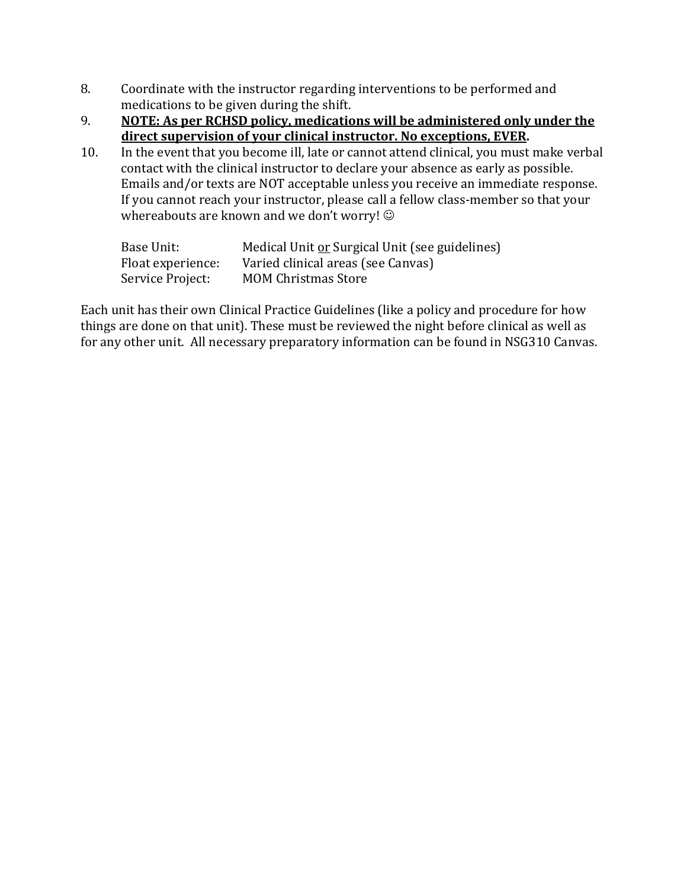- 8. Coordinate with the instructor regarding interventions to be performed and medications to be given during the shift.
- 9. **NOTE: As per RCHSD policy, medications will be administered only under the direct supervision of your clinical instructor. No exceptions, EVER.**
- 10. In the event that you become ill, late or cannot attend clinical, you must make verbal contact with the clinical instructor to declare your absence as early as possible. Emails and/or texts are NOT acceptable unless you receive an immediate response. If you cannot reach your instructor, please call a fellow class-member so that your whereabouts are known and we don't worry!  $\odot$

| Base Unit:        | Medical Unit or Surgical Unit (see guidelines) |
|-------------------|------------------------------------------------|
| Float experience: | Varied clinical areas (see Canvas)             |
| Service Project:  | <b>MOM Christmas Store</b>                     |

Each unit has their own Clinical Practice Guidelines (like a policy and procedure for how things are done on that unit). These must be reviewed the night before clinical as well as for any other unit. All necessary preparatory information can be found in NSG310 Canvas.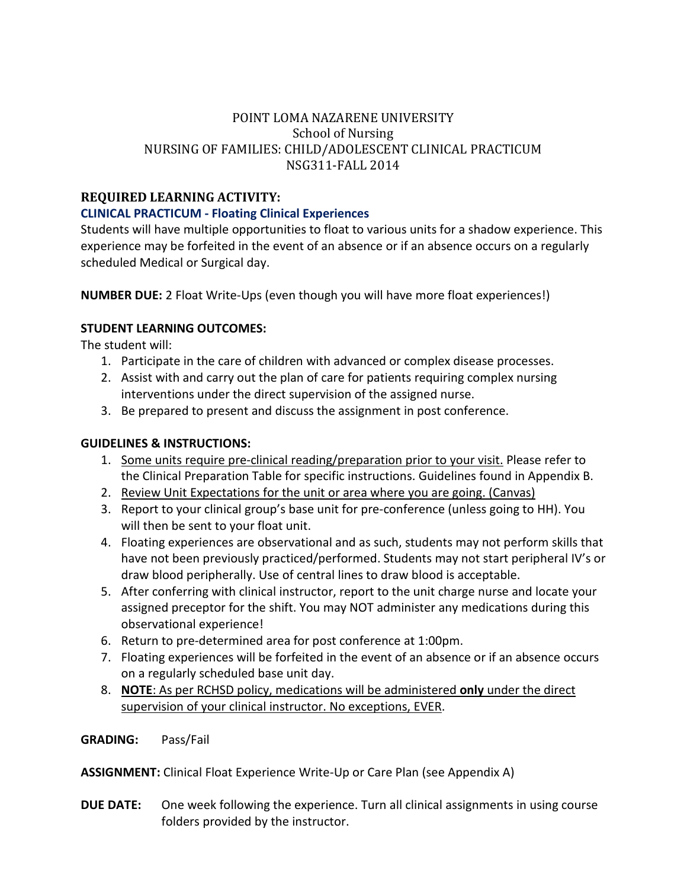# **REQUIRED LEARNING ACTIVITY:**

#### **CLINICAL PRACTICUM - Floating Clinical Experiences**

Students will have multiple opportunities to float to various units for a shadow experience. This experience may be forfeited in the event of an absence or if an absence occurs on a regularly scheduled Medical or Surgical day.

**NUMBER DUE:** 2 Float Write-Ups (even though you will have more float experiences!)

#### **STUDENT LEARNING OUTCOMES:**

The student will:

- 1. Participate in the care of children with advanced or complex disease processes.
- 2. Assist with and carry out the plan of care for patients requiring complex nursing interventions under the direct supervision of the assigned nurse.
- 3. Be prepared to present and discuss the assignment in post conference.

#### **GUIDELINES & INSTRUCTIONS:**

- 1. Some units require pre-clinical reading/preparation prior to your visit. Please refer to the Clinical Preparation Table for specific instructions. Guidelines found in Appendix B.
- 2. Review Unit Expectations for the unit or area where you are going. (Canvas)
- 3. Report to your clinical group's base unit for pre-conference (unless going to HH). You will then be sent to your float unit.
- 4. Floating experiences are observational and as such, students may not perform skills that have not been previously practiced/performed. Students may not start peripheral IV's or draw blood peripherally. Use of central lines to draw blood is acceptable.
- 5. After conferring with clinical instructor, report to the unit charge nurse and locate your assigned preceptor for the shift. You may NOT administer any medications during this observational experience!
- 6. Return to pre-determined area for post conference at 1:00pm.
- 7. Floating experiences will be forfeited in the event of an absence or if an absence occurs on a regularly scheduled base unit day.
- 8. **NOTE**: As per RCHSD policy, medications will be administered **only** under the direct supervision of your clinical instructor. No exceptions, EVER.
- **GRADING:** Pass/Fail

**ASSIGNMENT:** Clinical Float Experience Write-Up or Care Plan (see Appendix A)

**DUE DATE:** One week following the experience. Turn all clinical assignments in using course folders provided by the instructor.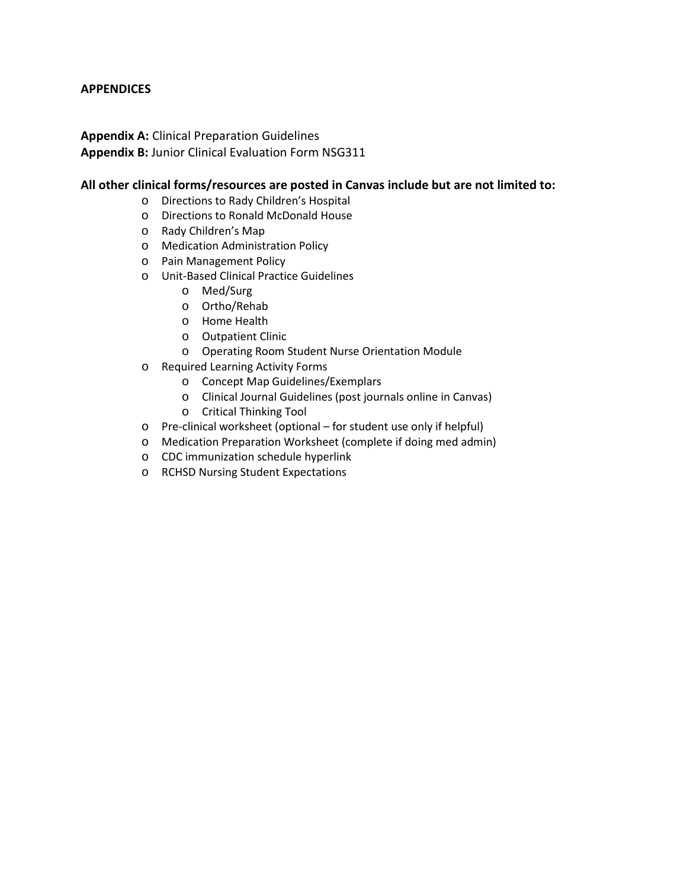#### **APPENDICES**

#### **Appendix A:** Clinical Preparation Guidelines **Appendix B:** Junior Clinical Evaluation Form NSG311

#### **All other clinical forms/resources are posted in Canvas include but are not limited to:**

- o Directions to Rady Children's Hospital
- o Directions to Ronald McDonald House
- o Rady Children's Map
- o Medication Administration Policy
- o Pain Management Policy
- o Unit-Based Clinical Practice Guidelines
	- o Med/Surg
	- o Ortho/Rehab
	- o Home Health
	- o Outpatient Clinic
	- o Operating Room Student Nurse Orientation Module
- o Required Learning Activity Forms
	- o Concept Map Guidelines/Exemplars
	- o Clinical Journal Guidelines (post journals online in Canvas)
	- o Critical Thinking Tool
- o Pre-clinical worksheet (optional for student use only if helpful)
- o Medication Preparation Worksheet (complete if doing med admin)
- o CDC immunization schedule hyperlink
- o RCHSD Nursing Student Expectations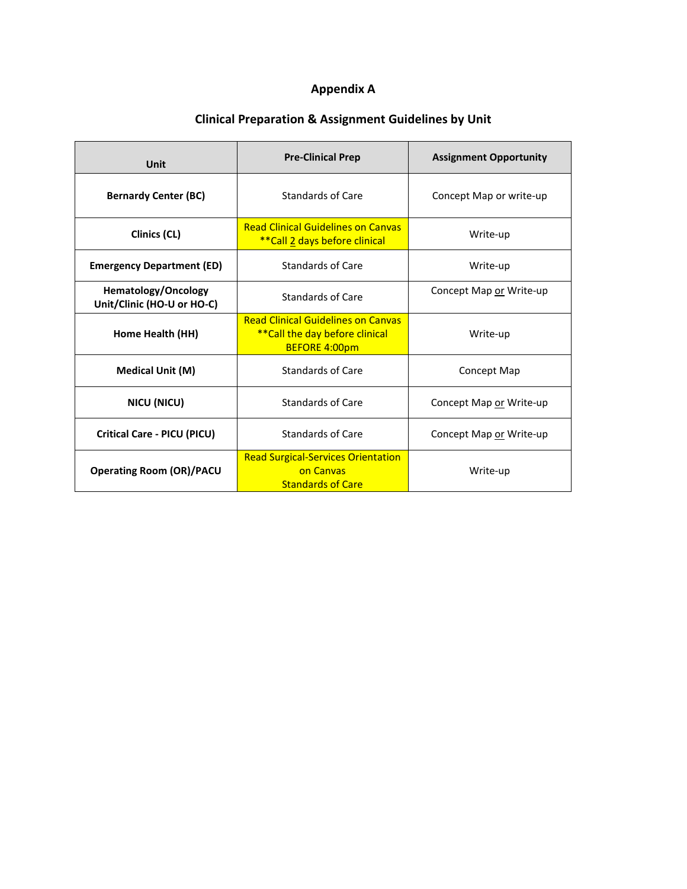# **Appendix A**

# **Clinical Preparation & Assignment Guidelines by Unit**

| Unit                                                     | <b>Pre-Clinical Prep</b>                                                                             | <b>Assignment Opportunity</b> |
|----------------------------------------------------------|------------------------------------------------------------------------------------------------------|-------------------------------|
| <b>Bernardy Center (BC)</b>                              | Standards of Care                                                                                    | Concept Map or write-up       |
| Clinics (CL)                                             | <b>Read Clinical Guidelines on Canvas</b><br>**Call 2 days before clinical                           | Write-up                      |
| <b>Emergency Department (ED)</b>                         | Standards of Care                                                                                    | Write-up                      |
| <b>Hematology/Oncology</b><br>Unit/Clinic (HO-U or HO-C) | <b>Standards of Care</b>                                                                             | Concept Map or Write-up       |
| Home Health (HH)                                         | <b>Read Clinical Guidelines on Canvas</b><br>** Call the day before clinical<br><b>BEFORE 4:00pm</b> | Write-up                      |
| <b>Medical Unit (M)</b>                                  | <b>Standards of Care</b>                                                                             | Concept Map                   |
| <b>NICU (NICU)</b>                                       | Standards of Care                                                                                    | Concept Map or Write-up       |
| <b>Critical Care - PICU (PICU)</b>                       | <b>Standards of Care</b>                                                                             | Concept Map or Write-up       |
| <b>Operating Room (OR)/PACU</b>                          | <b>Read Surgical-Services Orientation</b><br>on Canvas<br><b>Standards of Care</b>                   | Write-up                      |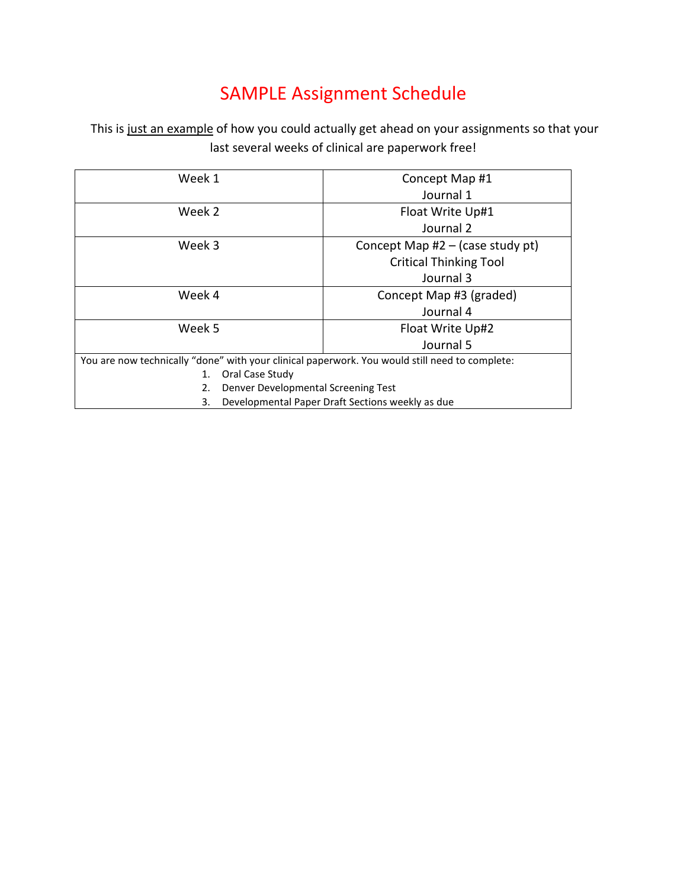# SAMPLE Assignment Schedule

This is just an example of how you could actually get ahead on your assignments so that your last several weeks of clinical are paperwork free!

| Week 1                                                                                         | Concept Map #1                                   |  |  |
|------------------------------------------------------------------------------------------------|--------------------------------------------------|--|--|
|                                                                                                | Journal 1                                        |  |  |
| Week 2                                                                                         | Float Write Up#1                                 |  |  |
|                                                                                                | Journal 2                                        |  |  |
| Week 3<br>Concept Map $#2 -$ (case study pt)                                                   |                                                  |  |  |
|                                                                                                | <b>Critical Thinking Tool</b>                    |  |  |
|                                                                                                | Journal 3                                        |  |  |
| Week 4                                                                                         | Concept Map #3 (graded)                          |  |  |
| Journal 4                                                                                      |                                                  |  |  |
| Week 5<br>Float Write Up#2                                                                     |                                                  |  |  |
|                                                                                                | Journal 5                                        |  |  |
| You are now technically "done" with your clinical paperwork. You would still need to complete: |                                                  |  |  |
| Oral Case Study<br>1.                                                                          |                                                  |  |  |
| Denver Developmental Screening Test<br>2.                                                      |                                                  |  |  |
| 3.                                                                                             | Developmental Paper Draft Sections weekly as due |  |  |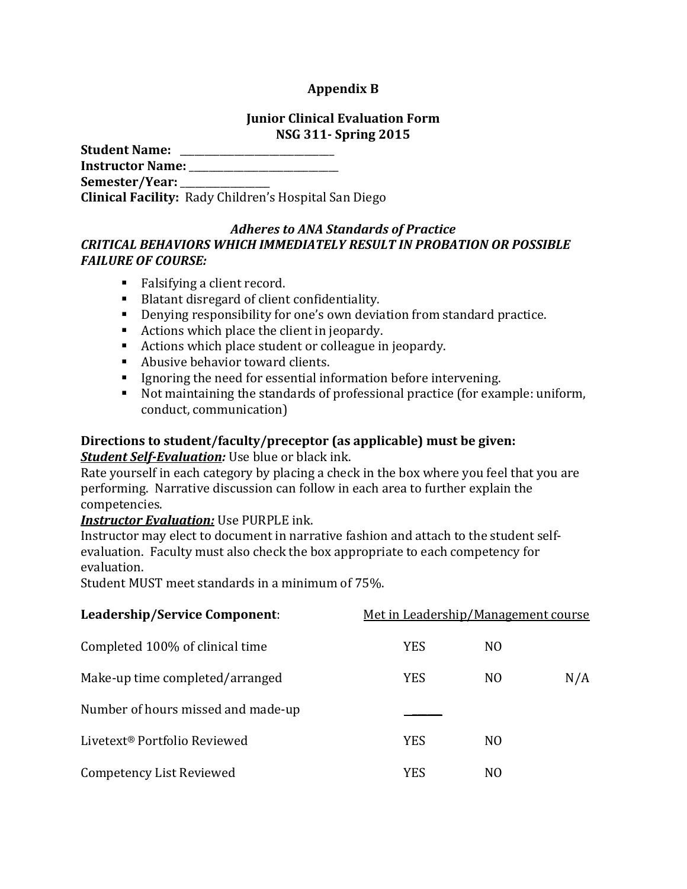### **Appendix B**

#### **Junior Clinical Evaluation Form NSG 311- Spring 2015**

| <b>Student Name:</b>    |                                                              |
|-------------------------|--------------------------------------------------------------|
| <b>Instructor Name:</b> |                                                              |
| Semester/Year:          |                                                              |
|                         | <b>Clinical Facility:</b> Rady Children's Hospital San Diego |

#### *Adheres to ANA Standards of Practice CRITICAL BEHAVIORS WHICH IMMEDIATELY RESULT IN PROBATION OR POSSIBLE FAILURE OF COURSE:*

- Falsifying a client record.
- Blatant disregard of client confidentiality.
- Denying responsibility for one's own deviation from standard practice.
- Actions which place the client in jeopardy.
- Actions which place student or colleague in jeopardy.
- Abusive behavior toward clients.
- Ignoring the need for essential information before intervening.
- Not maintaining the standards of professional practice (for example: uniform, conduct, communication)

# **Directions to student/faculty/preceptor (as applicable) must be given:**

#### *Student Self-Evaluation:* Use blue or black ink.

Rate yourself in each category by placing a check in the box where you feel that you are performing. Narrative discussion can follow in each area to further explain the competencies.

# *Instructor Evaluation:* Use PURPLE ink.

Instructor may elect to document in narrative fashion and attach to the student selfevaluation. Faculty must also check the box appropriate to each competency for evaluation.

Student MUST meet standards in a minimum of 75%.

| Leadership/Service Component:            | Met in Leadership/Management course |                |     |
|------------------------------------------|-------------------------------------|----------------|-----|
| Completed 100% of clinical time          | <b>YES</b>                          | N <sub>0</sub> |     |
| Make-up time completed/arranged          | <b>YES</b>                          | N <sub>0</sub> | N/A |
| Number of hours missed and made-up       |                                     |                |     |
| Livetext <sup>®</sup> Portfolio Reviewed | <b>YES</b>                          | N <sub>0</sub> |     |
| Competency List Reviewed                 | <b>YES</b>                          | N <sub>O</sub> |     |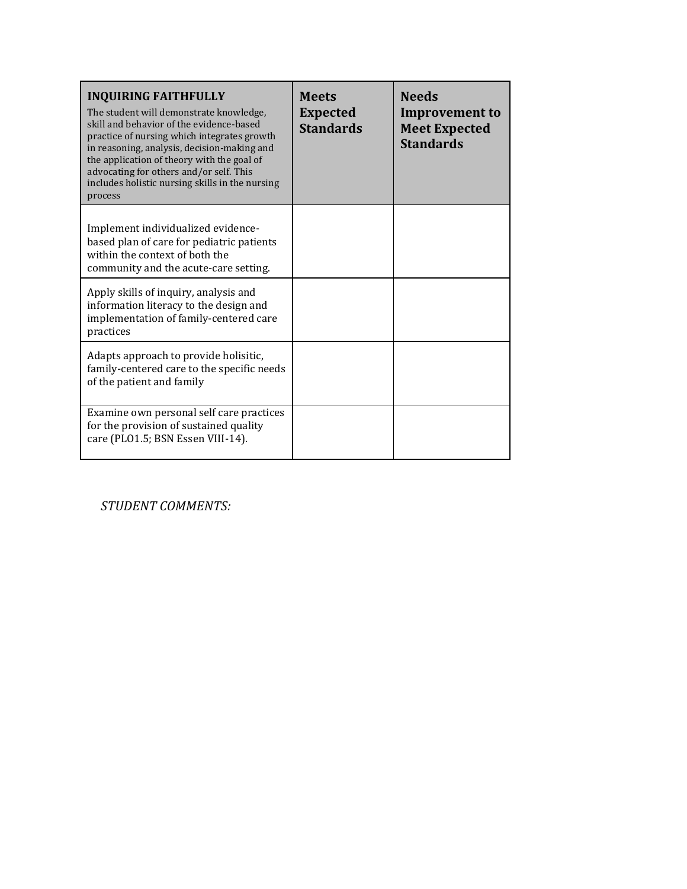| <b>INQUIRING FAITHFULLY</b><br>The student will demonstrate knowledge,<br>skill and behavior of the evidence-based<br>practice of nursing which integrates growth<br>in reasoning, analysis, decision-making and<br>the application of theory with the goal of<br>advocating for others and/or self. This<br>includes holistic nursing skills in the nursing<br>process | <b>Meets</b><br><b>Expected</b><br><b>Standards</b> | <b>Needs</b><br><b>Improvement to</b><br><b>Meet Expected</b><br><b>Standards</b> |
|-------------------------------------------------------------------------------------------------------------------------------------------------------------------------------------------------------------------------------------------------------------------------------------------------------------------------------------------------------------------------|-----------------------------------------------------|-----------------------------------------------------------------------------------|
| Implement individualized evidence-<br>based plan of care for pediatric patients<br>within the context of both the<br>community and the acute-care setting.                                                                                                                                                                                                              |                                                     |                                                                                   |
| Apply skills of inquiry, analysis and<br>information literacy to the design and<br>implementation of family-centered care<br>practices                                                                                                                                                                                                                                  |                                                     |                                                                                   |
| Adapts approach to provide holisitic,<br>family-centered care to the specific needs<br>of the patient and family                                                                                                                                                                                                                                                        |                                                     |                                                                                   |
| Examine own personal self care practices<br>for the provision of sustained quality<br>care (PLO1.5; BSN Essen VIII-14).                                                                                                                                                                                                                                                 |                                                     |                                                                                   |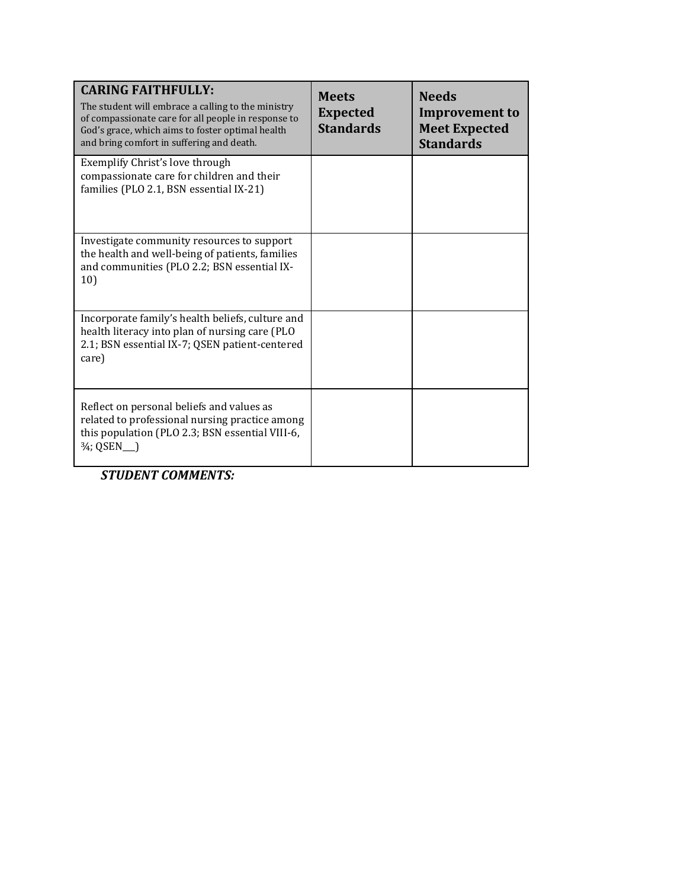| <b>CARING FAITHFULLY:</b><br>The student will embrace a calling to the ministry<br>of compassionate care for all people in response to<br>God's grace, which aims to foster optimal health<br>and bring comfort in suffering and death. | <b>Meets</b><br><b>Expected</b><br><b>Standards</b> | <b>Needs</b><br><b>Improvement to</b><br><b>Meet Expected</b><br><b>Standards</b> |
|-----------------------------------------------------------------------------------------------------------------------------------------------------------------------------------------------------------------------------------------|-----------------------------------------------------|-----------------------------------------------------------------------------------|
| Exemplify Christ's love through<br>compassionate care for children and their<br>families (PLO 2.1, BSN essential IX-21)                                                                                                                 |                                                     |                                                                                   |
| Investigate community resources to support<br>the health and well-being of patients, families<br>and communities (PLO 2.2; BSN essential IX-<br>10)                                                                                     |                                                     |                                                                                   |
| Incorporate family's health beliefs, culture and<br>health literacy into plan of nursing care (PLO<br>2.1; BSN essential IX-7; QSEN patient-centered<br>care)                                                                           |                                                     |                                                                                   |
| Reflect on personal beliefs and values as<br>related to professional nursing practice among<br>this population (PLO 2.3; BSN essential VIII-6,<br>3/ <sub>4</sub> ; QSEN                                                                |                                                     |                                                                                   |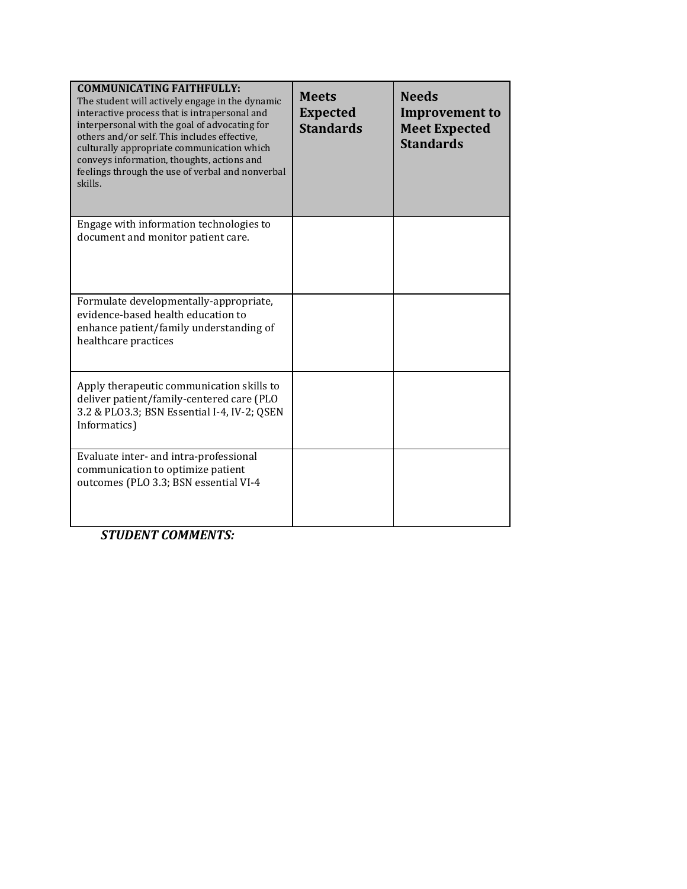| <b>COMMUNICATING FAITHFULLY:</b><br>The student will actively engage in the dynamic<br>interactive process that is intrapersonal and<br>interpersonal with the goal of advocating for<br>others and/or self. This includes effective,<br>culturally appropriate communication which<br>conveys information, thoughts, actions and<br>feelings through the use of verbal and nonverbal<br>skills. | <b>Meets</b><br><b>Expected</b><br><b>Standards</b> | <b>Needs</b><br><b>Improvement to</b><br><b>Meet Expected</b><br><b>Standards</b> |
|--------------------------------------------------------------------------------------------------------------------------------------------------------------------------------------------------------------------------------------------------------------------------------------------------------------------------------------------------------------------------------------------------|-----------------------------------------------------|-----------------------------------------------------------------------------------|
| Engage with information technologies to<br>document and monitor patient care.                                                                                                                                                                                                                                                                                                                    |                                                     |                                                                                   |
| Formulate developmentally-appropriate,<br>evidence-based health education to<br>enhance patient/family understanding of<br>healthcare practices                                                                                                                                                                                                                                                  |                                                     |                                                                                   |
| Apply therapeutic communication skills to<br>deliver patient/family-centered care (PLO<br>3.2 & PLO3.3; BSN Essential I-4, IV-2; QSEN<br>Informatics)                                                                                                                                                                                                                                            |                                                     |                                                                                   |
| Evaluate inter- and intra-professional<br>communication to optimize patient<br>outcomes (PLO 3.3; BSN essential VI-4                                                                                                                                                                                                                                                                             |                                                     |                                                                                   |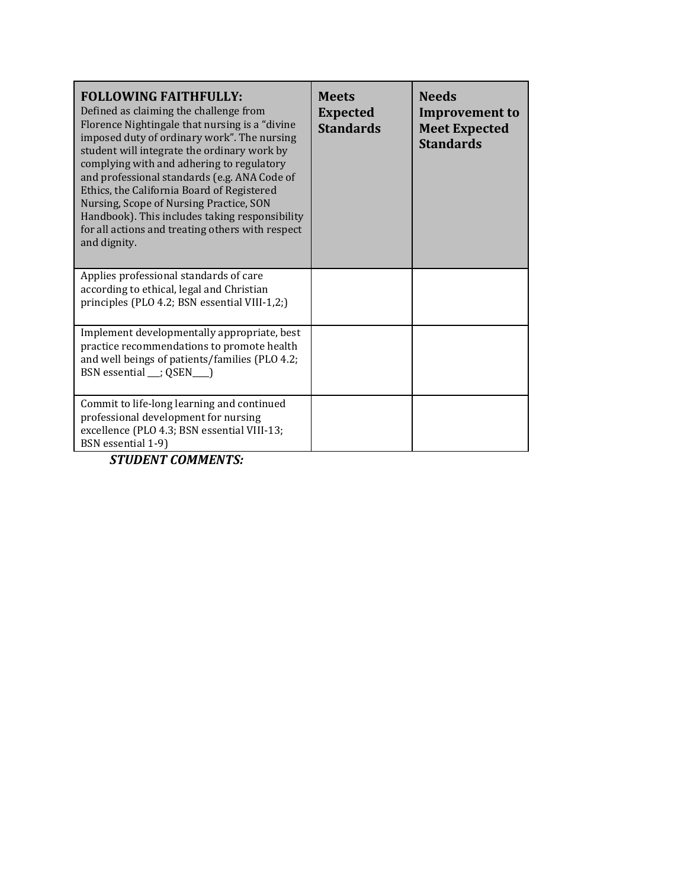| <b>FOLLOWING FAITHFULLY:</b><br>Defined as claiming the challenge from<br>Florence Nightingale that nursing is a "divine"<br>imposed duty of ordinary work". The nursing<br>student will integrate the ordinary work by<br>complying with and adhering to regulatory<br>and professional standards (e.g. ANA Code of<br>Ethics, the California Board of Registered<br>Nursing, Scope of Nursing Practice, SON<br>Handbook). This includes taking responsibility<br>for all actions and treating others with respect<br>and dignity. | <b>Meets</b><br><b>Expected</b><br><b>Standards</b> | <b>Needs</b><br><b>Improvement to</b><br><b>Meet Expected</b><br><b>Standards</b> |
|-------------------------------------------------------------------------------------------------------------------------------------------------------------------------------------------------------------------------------------------------------------------------------------------------------------------------------------------------------------------------------------------------------------------------------------------------------------------------------------------------------------------------------------|-----------------------------------------------------|-----------------------------------------------------------------------------------|
| Applies professional standards of care<br>according to ethical, legal and Christian<br>principles (PLO 4.2; BSN essential VIII-1,2;)                                                                                                                                                                                                                                                                                                                                                                                                |                                                     |                                                                                   |
| Implement developmentally appropriate, best<br>practice recommendations to promote health<br>and well beings of patients/families (PLO 4.2;<br>BSN essential __; QSEN___)                                                                                                                                                                                                                                                                                                                                                           |                                                     |                                                                                   |
| Commit to life-long learning and continued<br>professional development for nursing<br>excellence (PLO 4.3; BSN essential VIII-13;<br>BSN essential 1-9)                                                                                                                                                                                                                                                                                                                                                                             |                                                     |                                                                                   |
| <b>STUDENT COMMENTS:</b>                                                                                                                                                                                                                                                                                                                                                                                                                                                                                                            |                                                     |                                                                                   |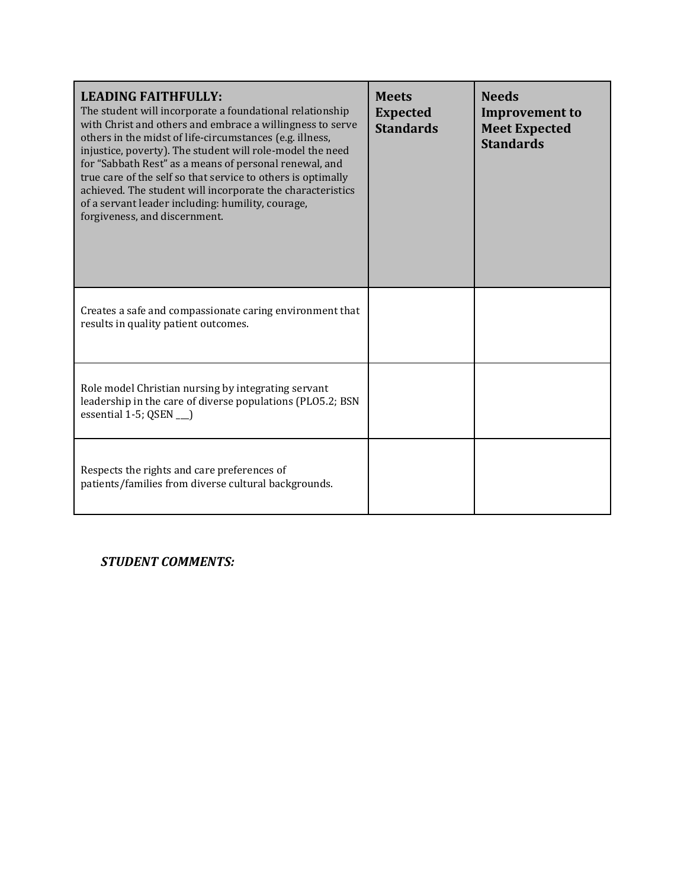| <b>LEADING FAITHFULLY:</b><br>The student will incorporate a foundational relationship<br>with Christ and others and embrace a willingness to serve<br>others in the midst of life-circumstances (e.g. illness,<br>injustice, poverty). The student will role-model the need<br>for "Sabbath Rest" as a means of personal renewal, and<br>true care of the self so that service to others is optimally<br>achieved. The student will incorporate the characteristics<br>of a servant leader including: humility, courage,<br>forgiveness, and discernment. | <b>Meets</b><br><b>Expected</b><br><b>Standards</b> | <b>Needs</b><br><b>Improvement to</b><br><b>Meet Expected</b><br><b>Standards</b> |
|------------------------------------------------------------------------------------------------------------------------------------------------------------------------------------------------------------------------------------------------------------------------------------------------------------------------------------------------------------------------------------------------------------------------------------------------------------------------------------------------------------------------------------------------------------|-----------------------------------------------------|-----------------------------------------------------------------------------------|
| Creates a safe and compassionate caring environment that<br>results in quality patient outcomes.                                                                                                                                                                                                                                                                                                                                                                                                                                                           |                                                     |                                                                                   |
| Role model Christian nursing by integrating servant<br>leadership in the care of diverse populations (PLO5.2; BSN<br>essential 1-5; QSEN ___)                                                                                                                                                                                                                                                                                                                                                                                                              |                                                     |                                                                                   |
| Respects the rights and care preferences of<br>patients/families from diverse cultural backgrounds.                                                                                                                                                                                                                                                                                                                                                                                                                                                        |                                                     |                                                                                   |